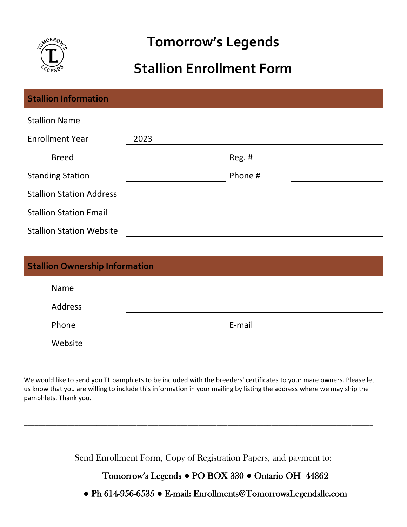

# **Tomorrow's Legends**

## **Stallion Enrollment Form**

| <b>Stallion Information</b>     |      |         |
|---------------------------------|------|---------|
| <b>Stallion Name</b>            |      |         |
| <b>Enrollment Year</b>          | 2023 |         |
| <b>Breed</b>                    |      | Reg. #  |
| <b>Standing Station</b>         |      | Phone # |
| <b>Stallion Station Address</b> |      |         |
| <b>Stallion Station Email</b>   |      |         |
| <b>Stallion Station Website</b> |      |         |

| <b>Stallion Ownership Information</b> |        |  |
|---------------------------------------|--------|--|
| Name                                  |        |  |
| Address                               |        |  |
| Phone                                 | E-mail |  |
| Website                               |        |  |

We would like to send you TL pamphlets to be included with the breeders' certificates to your mare owners. Please let us know that you are willing to include this information in your mailing by listing the address where we may ship the pamphlets. Thank you.

\_\_\_\_\_\_\_\_\_\_\_\_\_\_\_\_\_\_\_\_\_\_\_\_\_\_\_\_\_\_\_\_\_\_\_\_\_\_\_\_\_\_\_\_\_\_\_\_\_\_\_\_\_\_\_\_\_\_\_\_\_\_\_\_\_\_\_\_\_\_\_\_\_\_\_\_\_\_\_\_\_\_\_\_\_\_\_\_\_\_\_\_\_\_\_\_

Send Enrollment Form, Copy of Registration Papers, and payment to:

#### Tomorrow's Legends **●** PO BOX 330 **●** Ontario OH 44862

**●** Ph 614-956-6535 **●** E-mail: Enrollments@TomorrowsLegendsllc.com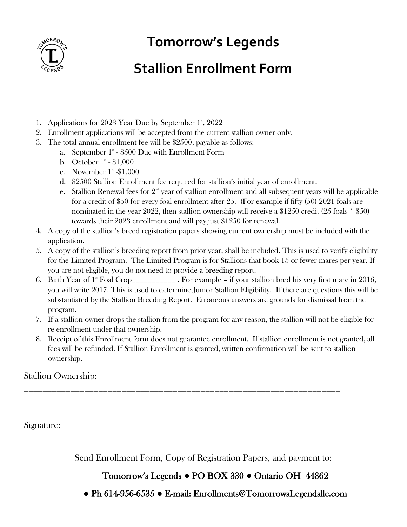

# **Tomorrow's Legends**

## **Stallion Enrollment Form**

- 1. Applications for 2023 Year Due by September 1<sup>\*</sup>, 2022
- 2. Enrollment applications will be accepted from the current stallion owner only.
- 3. The total annual enrollment fee will be \$2500, payable as follows:
	- a. September  $1^*$   $$500$  Due with Enrollment Form
	- b. October  $1^*$   $$1,000$
	- c. November  $1^*$  -\$1,000
	- d. \$2500 Stallion Enrollment fee required for stallion's initial year of enrollment.
	- e. Stallion Renewal fees for  $2<sup>nd</sup>$  year of stallion enrollment and all subsequent years will be applicable for a credit of \$50 for every foal enrollment after 25. (For example if fifty (50) 2021 foals are nominated in the year 2022, then stallion ownership will receive a \$1250 credit (25 foals \* \$50) towards their 2023 enrollment and will pay just \$1250 for renewal.
- 4. A copy of the stallion's breed registration papers showing current ownership must be included with the application.
- 5. A copy of the stallion's breeding report from prior year, shall be included. This is used to verify eligibility for the Limited Program. The Limited Program is for Stallions that book 15 or fewer mares per year. If you are not eligible, you do not need to provide a breeding report.
- 6. Birth Year of 1<sup>st</sup> Foal Crop<sub>\_\_\_\_\_\_\_\_\_\_</sub> . For example if your stallion bred his very first mare in 2016, you will write 2017. This is used to determine Junior Stallion Eligibility. If there are questions this will be substantiated by the Stallion Breeding Report. Erroneous answers are grounds for dismissal from the program.
- 7. If a stallion owner drops the stallion from the program for any reason, the stallion will not be eligible for re-enrollment under that ownership.
- 8. Receipt of this Enrollment form does not guarantee enrollment. If stallion enrollment is not granted, all fees will be refunded. If Stallion Enrollment is granted, written confirmation will be sent to stallion ownership.

\_\_\_\_\_\_\_\_\_\_\_\_\_\_\_\_\_\_\_\_\_\_\_\_\_\_\_\_\_\_\_\_\_\_\_\_\_\_\_\_\_\_\_\_\_\_\_\_\_\_\_\_\_\_\_\_\_\_\_\_\_\_\_\_\_\_\_\_

#### Stallion Ownership:

Signature:

Send Enrollment Form, Copy of Registration Papers, and payment to:

\_\_\_\_\_\_\_\_\_\_\_\_\_\_\_\_\_\_\_\_\_\_\_\_\_\_\_\_\_\_\_\_\_\_\_\_\_\_\_\_\_\_\_\_\_\_\_\_\_\_\_\_\_\_\_\_\_\_\_\_\_\_\_\_\_\_\_\_\_\_\_\_\_\_\_\_

### Tomorrow's Legends **●** PO BOX 330 **●** Ontario OH 44862

**●** Ph 614-956-6535 **●** E-mail: Enrollments@TomorrowsLegendsllc.com